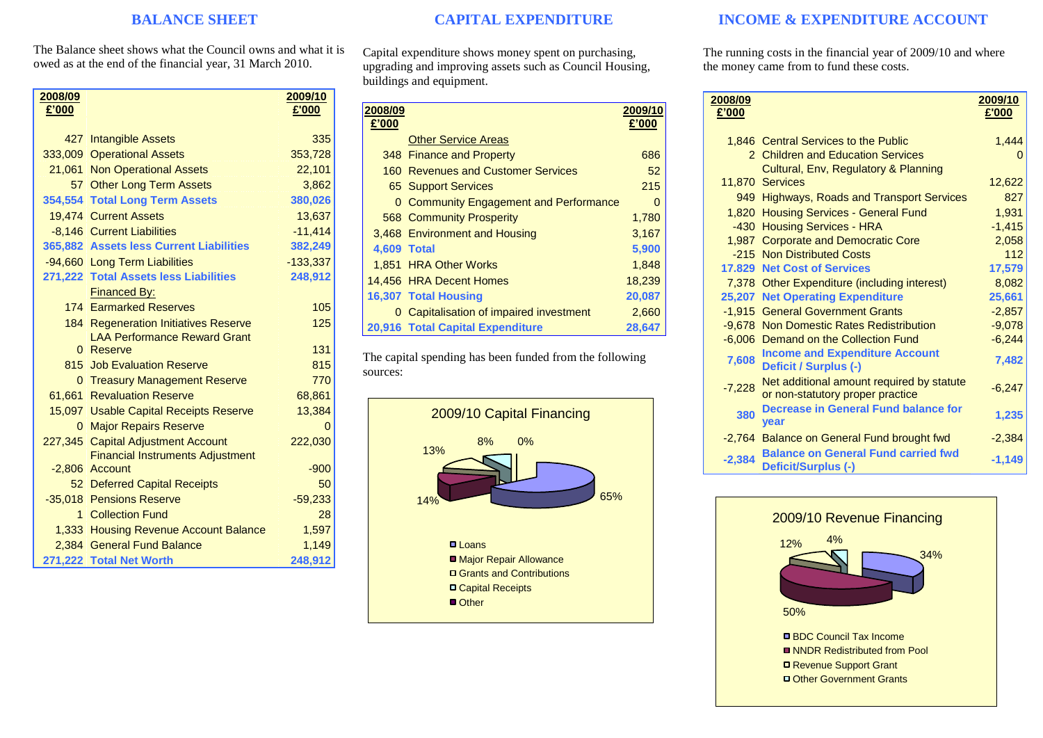### **BALANCE SHEET**

The Balance sheet shows what the Council owns and what it is owed as at the end of the financial year, 31 March 2010.

| 2008/09<br>£'000 |                                                           | <u>2009/10</u><br>£'000 |
|------------------|-----------------------------------------------------------|-------------------------|
|                  |                                                           |                         |
|                  | 427 Intangible Assets                                     | 335                     |
|                  | 333,009 Operational Assets                                | 353,728                 |
|                  | 21,061 Non Operational Assets                             | 22,101                  |
|                  | 57 Other Long Term Assets                                 | 3,862                   |
|                  | 354,554 Total Long Term Assets                            | 380,026                 |
|                  | 19.474 Current Assets                                     | 13,637                  |
|                  | -8,146 Current Liabilities                                | $-11,414$               |
|                  | 365,882 Assets less Current Liabilities                   | 382,249                 |
|                  | -94,660 Long Term Liabilities                             | $-133,337$              |
|                  | 271,222 Total Assets less Liabilities                     | 248,912                 |
|                  | <b>Financed By:</b>                                       |                         |
|                  | <b>174 Earmarked Reserves</b>                             | 105                     |
|                  | 184 Regeneration Initiatives Reserve                      | 125                     |
|                  | <b>LAA Performance Reward Grant</b>                       |                         |
|                  | 0 Reserve                                                 | 131                     |
|                  | 815 Job Evaluation Reserve                                | 815                     |
|                  | 0 Treasury Management Reserve                             | 770                     |
|                  | 61,661 Revaluation Reserve                                | 68,861                  |
|                  | 15,097 Usable Capital Receipts Reserve                    | 13,384                  |
|                  | 0 Major Repairs Reserve                                   | 0                       |
| 227,345          | <b>Capital Adjustment Account</b>                         | 222,030                 |
|                  | <b>Financial Instruments Adjustment</b><br>-2,806 Account | $-900$                  |
|                  | 52 Deferred Capital Receipts                              | 50                      |
|                  | -35.018 Pensions Reserve                                  | $-59,233$               |
|                  | 1 Collection Fund                                         | 28                      |
|                  | 1,333 Housing Revenue Account Balance                     | 1,597                   |
|                  | 2.384 General Fund Balance                                | 1,149                   |
|                  | 271,222 Total Net Worth                                   | 248,912                 |

## **CAPITAL EXPENDITURE**

Capital expenditure shows money spent on purchasing, upgrading and improving assets such as Council Housing, buildings and equipment.

| 2008/09<br>£'000   |                                               | 2009/10<br>£'000 |
|--------------------|-----------------------------------------------|------------------|
|                    | <b>Other Service Areas</b>                    |                  |
|                    | 348 Finance and Property                      | 686              |
|                    | 160 Revenues and Customer Services            | 52               |
|                    | 65 Support Services                           | 215              |
|                    | <b>0 Community Engagement and Performance</b> | 0                |
|                    | <b>568 Community Prosperity</b>               | 1,780            |
|                    | 3,468 Environment and Housing                 | 3,167            |
| <b>4.609 Total</b> |                                               | 5,900            |
|                    | 1.851 HRA Other Works                         | 1,848            |
|                    | 14,456 HRA Decent Homes                       | 18,239           |
|                    | <b>16,307 Total Housing</b>                   | 20,087           |
|                    | 0 Capitalisation of impaired investment       | 2,660            |
|                    | 20,916 Total Capital Expenditure              | 28,647           |

The capital spending has been funded from the following sources:



## **INCOME & EXPENDITURE ACCOUNT**

The running costs in the financial year of 2009/10 and where the money came from to fund these costs.

| 2008/09<br>£'000 |                                                                               | 2009/10<br>£'000 |
|------------------|-------------------------------------------------------------------------------|------------------|
|                  | 1,846 Central Services to the Public                                          | 1,444            |
|                  | 2 Children and Education Services                                             |                  |
|                  | Cultural, Env. Regulatory & Planning                                          |                  |
|                  | 11,870 Services                                                               | 12,622           |
|                  | 949 Highways, Roads and Transport Services                                    | 827              |
|                  | 1,820 Housing Services - General Fund                                         | 1.931            |
|                  | -430 Housing Services - HRA                                                   | $-1,415$         |
|                  | 1,987 Corporate and Democratic Core                                           | 2,058            |
|                  | -215 Non Distributed Costs                                                    | 112              |
|                  | <b>17.829 Net Cost of Services</b>                                            | 17,579           |
|                  | 7,378 Other Expenditure (including interest)                                  | 8,082            |
|                  | 25,207 Net Operating Expenditure                                              | 25,661           |
|                  | -1.915 General Government Grants                                              | $-2,857$         |
|                  | -9,678 Non Domestic Rates Redistribution                                      | $-9,078$         |
|                  | -6,006 Demand on the Collection Fund                                          | $-6,244$         |
| 7,608            | <b>Income and Expenditure Account</b><br>Deficit / Surplus (-)                | 7,482            |
| $-7,228$         | Net additional amount required by statute<br>or non-statutory proper practice | $-6,247$         |
| 380              | Decrease in General Fund balance for<br><b>vear</b>                           | 1,235            |
|                  | -2,764 Balance on General Fund brought fwd                                    | $-2,384$         |
| $-2,384$         | <b>Balance on General Fund carried fwd</b><br>Deficit/Surplus (-)             | $-1,149$         |